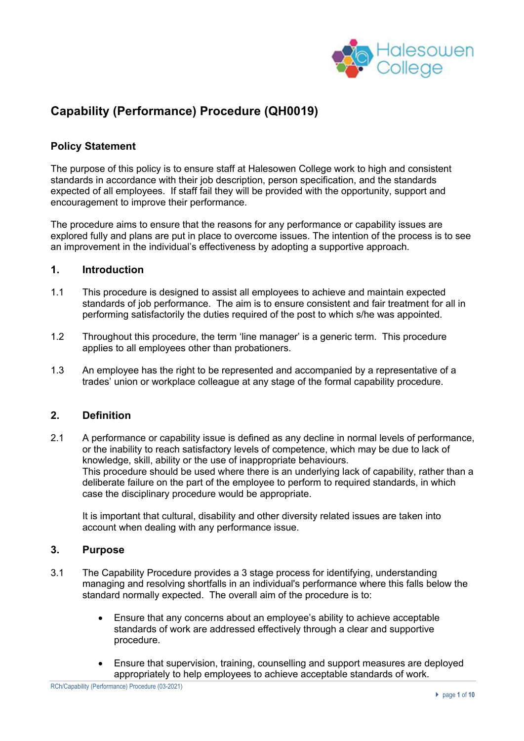

## **Capability (Performance) Procedure (QH0019)**

#### **Policy Statement**

The purpose of this policy is to ensure staff at Halesowen College work to high and consistent standards in accordance with their job description, person specification, and the standards expected of all employees. If staff fail they will be provided with the opportunity, support and encouragement to improve their performance.

The procedure aims to ensure that the reasons for any performance or capability issues are explored fully and plans are put in place to overcome issues. The intention of the process is to see an improvement in the individual's effectiveness by adopting a supportive approach.

#### **1. Introduction**

- 1.1 This procedure is designed to assist all employees to achieve and maintain expected standards of job performance. The aim is to ensure consistent and fair treatment for all in performing satisfactorily the duties required of the post to which s/he was appointed.
- 1.2 Throughout this procedure, the term 'line manager' is a generic term. This procedure applies to all employees other than probationers.
- 1.3 An employee has the right to be represented and accompanied by a representative of a trades' union or workplace colleague at any stage of the formal capability procedure.

#### **2. Definition**

2.1 A performance or capability issue is defined as any decline in normal levels of performance, or the inability to reach satisfactory levels of competence, which may be due to lack of knowledge, skill, ability or the use of inappropriate behaviours. This procedure should be used where there is an underlying lack of capability, rather than a deliberate failure on the part of the employee to perform to required standards, in which case the disciplinary procedure would be appropriate.

It is important that cultural, disability and other diversity related issues are taken into account when dealing with any performance issue.

#### **3. Purpose**

- 3.1 The Capability Procedure provides a 3 stage process for identifying, understanding managing and resolving shortfalls in an individual's performance where this falls below the standard normally expected. The overall aim of the procedure is to:
	- Ensure that any concerns about an employee's ability to achieve acceptable standards of work are addressed effectively through a clear and supportive procedure.
	- Ensure that supervision, training, counselling and support measures are deployed appropriately to help employees to achieve acceptable standards of work.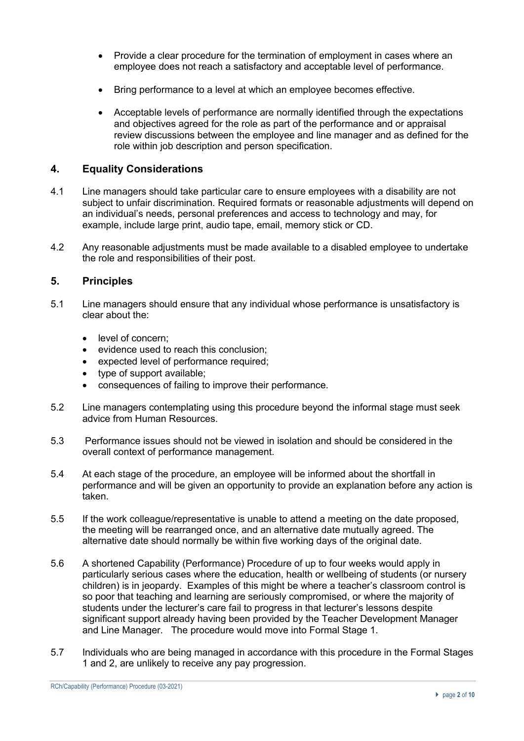- Provide a clear procedure for the termination of employment in cases where an employee does not reach a satisfactory and acceptable level of performance.
- Bring performance to a level at which an employee becomes effective.
- Acceptable levels of performance are normally identified through the expectations and objectives agreed for the role as part of the performance and or appraisal review discussions between the employee and line manager and as defined for the role within job description and person specification.

#### **4. Equality Considerations**

- 4.1 Line managers should take particular care to ensure employees with a disability are not subject to unfair discrimination*.* Required formats or reasonable adjustments will depend on an individual's needs, personal preferences and access to technology and may, for example, include large print, audio tape, email, memory stick or CD.
- 4.2 Any reasonable adjustments must be made available to a disabled employee to undertake the role and responsibilities of their post.

#### **5. Principles**

- 5.1 Line managers should ensure that any individual whose performance is unsatisfactory is clear about the:
	- level of concern:
	- evidence used to reach this conclusion;
	- expected level of performance required;
	- type of support available;
	- consequences of failing to improve their performance.
- 5.2 Line managers contemplating using this procedure beyond the informal stage must seek advice from Human Resources.
- 5.3 Performance issues should not be viewed in isolation and should be considered in the overall context of performance management.
- 5.4 At each stage of the procedure, an employee will be informed about the shortfall in performance and will be given an opportunity to provide an explanation before any action is taken.
- 5.5 If the work colleague/representative is unable to attend a meeting on the date proposed, the meeting will be rearranged once, and an alternative date mutually agreed. The alternative date should normally be within five working days of the original date.
- 5.6 A shortened Capability (Performance) Procedure of up to four weeks would apply in particularly serious cases where the education, health or wellbeing of students (or nursery children) is in jeopardy. Examples of this might be where a teacher's classroom control is so poor that teaching and learning are seriously compromised, or where the majority of students under the lecturer's care fail to progress in that lecturer's lessons despite significant support already having been provided by the Teacher Development Manager and Line Manager. The procedure would move into Formal Stage 1.
- 5.7 Individuals who are being managed in accordance with this procedure in the Formal Stages 1 and 2, are unlikely to receive any pay progression.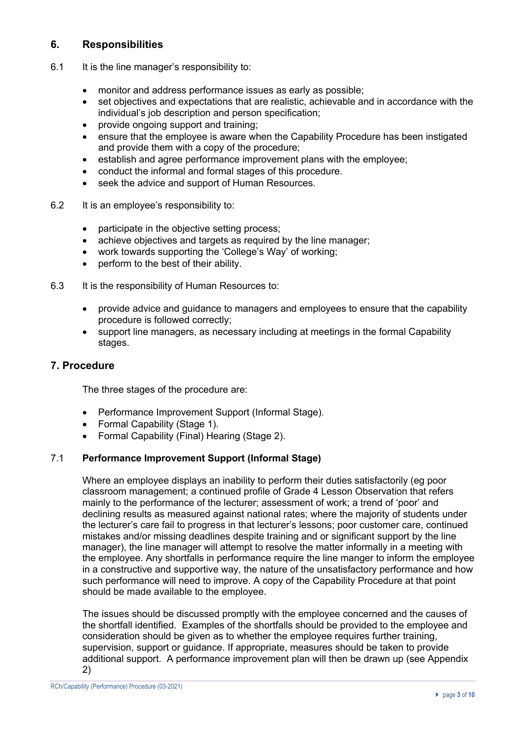## **6. Responsibilities**

- 6.1 It is the line manager's responsibility to:
	- monitor and address performance issues as early as possible;
	- set objectives and expectations that are realistic, achievable and in accordance with the individual's job description and person specification:
	- provide ongoing support and training;
	- ensure that the employee is aware when the Capability Procedure has been instigated and provide them with a copy of the procedure;
	- establish and agree performance improvement plans with the employee;
	- conduct the informal and formal stages of this procedure.
	- seek the advice and support of Human Resources.
- 6.2 It is an employee's responsibility to:
	- participate in the objective setting process;
	- achieve objectives and targets as required by the line manager;
	- work towards supporting the 'College's Way' of working;
	- perform to the best of their ability.
- 6.3 It is the responsibility of Human Resources to:
	- provide advice and guidance to managers and employees to ensure that the capability procedure is followed correctly;
	- support line managers, as necessary including at meetings in the formal Capability stages.

#### **7. Procedure**

The three stages of the procedure are:

- Performance Improvement Support (Informal Stage).
- Formal Capability (Stage 1).
- Formal Capability (Final) Hearing (Stage 2).

#### 7.1 **Performance Improvement Support (Informal Stage)**

Where an employee displays an inability to perform their duties satisfactorily (eg poor classroom management; a continued profile of Grade 4 Lesson Observation that refers mainly to the performance of the lecturer; assessment of work; a trend of 'poor' and declining results as measured against national rates; where the majority of students under the lecturer's care fail to progress in that lecturer's lessons; poor customer care, continued mistakes and/or missing deadlines despite training and or significant support by the line manager), the line manager will attempt to resolve the matter informally in a meeting with the employee. Any shortfalls in performance require the line manger to inform the employee in a constructive and supportive way, the nature of the unsatisfactory performance and how such performance will need to improve. A copy of the Capability Procedure at that point should be made available to the employee.

The issues should be discussed promptly with the employee concerned and the causes of the shortfall identified. Examples of the shortfalls should be provided to the employee and consideration should be given as to whether the employee requires further training, supervision, support or guidance. If appropriate, measures should be taken to provide additional support. A performance improvement plan will then be drawn up (see Appendix 2)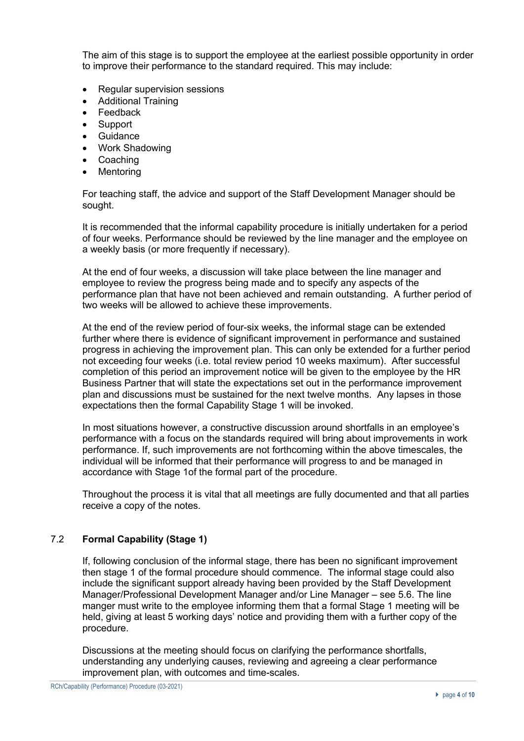The aim of this stage is to support the employee at the earliest possible opportunity in order to improve their performance to the standard required. This may include:

- Regular supervision sessions
- Additional Training
- **Feedback**
- Support
- **Guidance**
- Work Shadowing
- Coaching
- **Mentoring**

For teaching staff, the advice and support of the Staff Development Manager should be sought.

It is recommended that the informal capability procedure is initially undertaken for a period of four weeks. Performance should be reviewed by the line manager and the employee on a weekly basis (or more frequently if necessary).

At the end of four weeks, a discussion will take place between the line manager and employee to review the progress being made and to specify any aspects of the performance plan that have not been achieved and remain outstanding. A further period of two weeks will be allowed to achieve these improvements.

At the end of the review period of four-six weeks, the informal stage can be extended further where there is evidence of significant improvement in performance and sustained progress in achieving the improvement plan. This can only be extended for a further period not exceeding four weeks (i.e. total review period 10 weeks maximum). After successful completion of this period an improvement notice will be given to the employee by the HR Business Partner that will state the expectations set out in the performance improvement plan and discussions must be sustained for the next twelve months. Any lapses in those expectations then the formal Capability Stage 1 will be invoked.

In most situations however, a constructive discussion around shortfalls in an employee's performance with a focus on the standards required will bring about improvements in work performance. If, such improvements are not forthcoming within the above timescales, the individual will be informed that their performance will progress to and be managed in accordance with Stage 1of the formal part of the procedure.

Throughout the process it is vital that all meetings are fully documented and that all parties receive a copy of the notes.

### 7.2 **Formal Capability (Stage 1)**

If, following conclusion of the informal stage, there has been no significant improvement then stage 1 of the formal procedure should commence. The informal stage could also include the significant support already having been provided by the Staff Development Manager/Professional Development Manager and/or Line Manager – see 5.6. The line manger must write to the employee informing them that a formal Stage 1 meeting will be held, giving at least 5 working days' notice and providing them with a further copy of the procedure.

Discussions at the meeting should focus on clarifying the performance shortfalls, understanding any underlying causes, reviewing and agreeing a clear performance improvement plan, with outcomes and time-scales.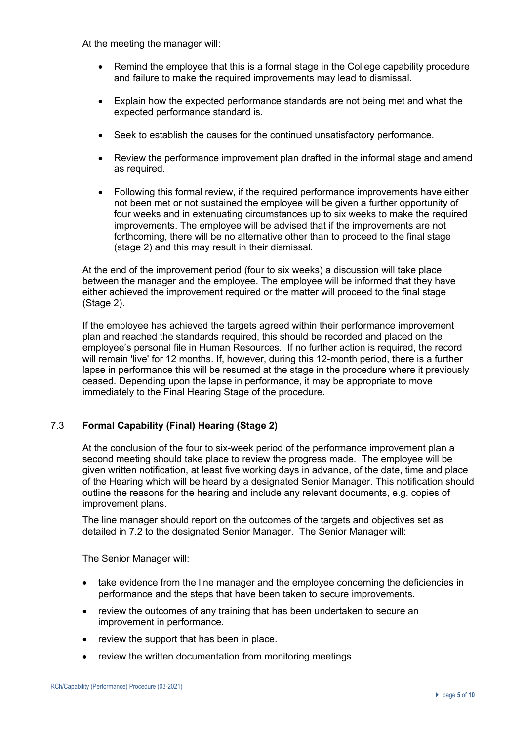At the meeting the manager will:

- Remind the employee that this is a formal stage in the College capability procedure and failure to make the required improvements may lead to dismissal.
- Explain how the expected performance standards are not being met and what the expected performance standard is.
- Seek to establish the causes for the continued unsatisfactory performance.
- Review the performance improvement plan drafted in the informal stage and amend as required.
- Following this formal review, if the required performance improvements have either not been met or not sustained the employee will be given a further opportunity of four weeks and in extenuating circumstances up to six weeks to make the required improvements. The employee will be advised that if the improvements are not forthcoming, there will be no alternative other than to proceed to the final stage (stage 2) and this may result in their dismissal.

At the end of the improvement period (four to six weeks) a discussion will take place between the manager and the employee. The employee will be informed that they have either achieved the improvement required or the matter will proceed to the final stage (Stage 2).

If the employee has achieved the targets agreed within their performance improvement plan and reached the standards required, this should be recorded and placed on the employee's personal file in Human Resources. If no further action is required, the record will remain 'live' for 12 months. If, however, during this 12-month period, there is a further lapse in performance this will be resumed at the stage in the procedure where it previously ceased. Depending upon the lapse in performance, it may be appropriate to move immediately to the Final Hearing Stage of the procedure.

### 7.3 **Formal Capability (Final) Hearing (Stage 2)**

At the conclusion of the four to six-week period of the performance improvement plan a second meeting should take place to review the progress made. The employee will be given written notification, at least five working days in advance, of the date, time and place of the Hearing which will be heard by a designated Senior Manager. This notification should outline the reasons for the hearing and include any relevant documents, e.g. copies of improvement plans.

The line manager should report on the outcomes of the targets and objectives set as detailed in 7.2 to the designated Senior Manager. The Senior Manager will:

The Senior Manager will:

- take evidence from the line manager and the employee concerning the deficiencies in performance and the steps that have been taken to secure improvements.
- review the outcomes of any training that has been undertaken to secure an improvement in performance.
- review the support that has been in place.
- review the written documentation from monitoring meetings.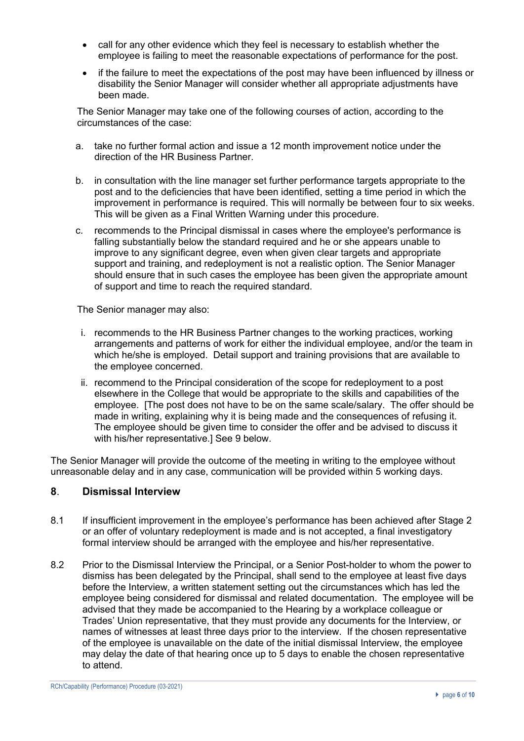- call for any other evidence which they feel is necessary to establish whether the employee is failing to meet the reasonable expectations of performance for the post.
- if the failure to meet the expectations of the post may have been influenced by illness or disability the Senior Manager will consider whether all appropriate adjustments have been made.

The Senior Manager may take one of the following courses of action, according to the circumstances of the case:

- a. take no further formal action and issue a 12 month improvement notice under the direction of the HR Business Partner.
- b. in consultation with the line manager set further performance targets appropriate to the post and to the deficiencies that have been identified, setting a time period in which the improvement in performance is required. This will normally be between four to six weeks. This will be given as a Final Written Warning under this procedure.
- c. recommends to the Principal dismissal in cases where the employee's performance is falling substantially below the standard required and he or she appears unable to improve to any significant degree, even when given clear targets and appropriate support and training, and redeployment is not a realistic option. The Senior Manager should ensure that in such cases the employee has been given the appropriate amount of support and time to reach the required standard.

The Senior manager may also:

- i. recommends to the HR Business Partner changes to the working practices, working arrangements and patterns of work for either the individual employee, and/or the team in which he/she is employed. Detail support and training provisions that are available to the employee concerned.
- ii. recommend to the Principal consideration of the scope for redeployment to a post elsewhere in the College that would be appropriate to the skills and capabilities of the employee. [The post does not have to be on the same scale/salary. The offer should be made in writing, explaining why it is being made and the consequences of refusing it. The employee should be given time to consider the offer and be advised to discuss it with his/her representative.] See 9 below.

The Senior Manager will provide the outcome of the meeting in writing to the employee without unreasonable delay and in any case, communication will be provided within 5 working days.

### **8**. **Dismissal Interview**

- 8.1 If insufficient improvement in the employee's performance has been achieved after Stage 2 or an offer of voluntary redeployment is made and is not accepted, a final investigatory formal interview should be arranged with the employee and his/her representative.
- 8.2 Prior to the Dismissal Interview the Principal, or a Senior Post-holder to whom the power to dismiss has been delegated by the Principal, shall send to the employee at least five days before the Interview, a written statement setting out the circumstances which has led the employee being considered for dismissal and related documentation. The employee will be advised that they made be accompanied to the Hearing by a workplace colleague or Trades' Union representative, that they must provide any documents for the Interview, or names of witnesses at least three days prior to the interview. If the chosen representative of the employee is unavailable on the date of the initial dismissal Interview, the employee may delay the date of that hearing once up to 5 days to enable the chosen representative to attend.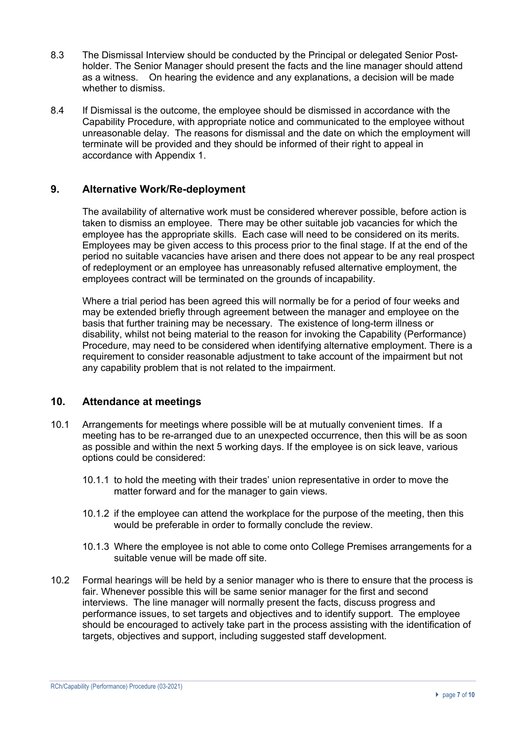- 8.3 The Dismissal Interview should be conducted by the Principal or delegated Senior Postholder. The Senior Manager should present the facts and the line manager should attend as a witness. On hearing the evidence and any explanations, a decision will be made whether to dismiss.
- 8.4 If Dismissal is the outcome, the employee should be dismissed in accordance with the Capability Procedure, with appropriate notice and communicated to the employee without unreasonable delay. The reasons for dismissal and the date on which the employment will terminate will be provided and they should be informed of their right to appeal in accordance with Appendix 1.

### **9. Alternative Work/Re-deployment**

The availability of alternative work must be considered wherever possible, before action is taken to dismiss an employee. There may be other suitable job vacancies for which the employee has the appropriate skills. Each case will need to be considered on its merits. Employees may be given access to this process prior to the final stage. If at the end of the period no suitable vacancies have arisen and there does not appear to be any real prospect of redeployment or an employee has unreasonably refused alternative employment, the employees contract will be terminated on the grounds of incapability.

Where a trial period has been agreed this will normally be for a period of four weeks and may be extended briefly through agreement between the manager and employee on the basis that further training may be necessary. The existence of long-term illness or disability, whilst not being material to the reason for invoking the Capability (Performance) Procedure, may need to be considered when identifying alternative employment. There is a requirement to consider reasonable adjustment to take account of the impairment but not any capability problem that is not related to the impairment.

### **10. Attendance at meetings**

- 10.1 Arrangements for meetings where possible will be at mutually convenient times. If a meeting has to be re-arranged due to an unexpected occurrence, then this will be as soon as possible and within the next 5 working days. If the employee is on sick leave, various options could be considered:
	- 10.1.1 to hold the meeting with their trades' union representative in order to move the matter forward and for the manager to gain views.
	- 10.1.2 if the employee can attend the workplace for the purpose of the meeting, then this would be preferable in order to formally conclude the review.
	- 10.1.3 Where the employee is not able to come onto College Premises arrangements for a suitable venue will be made off site.
- 10.2 Formal hearings will be held by a senior manager who is there to ensure that the process is fair. Whenever possible this will be same senior manager for the first and second interviews. The line manager will normally present the facts, discuss progress and performance issues, to set targets and objectives and to identify support. The employee should be encouraged to actively take part in the process assisting with the identification of targets, objectives and support, including suggested staff development.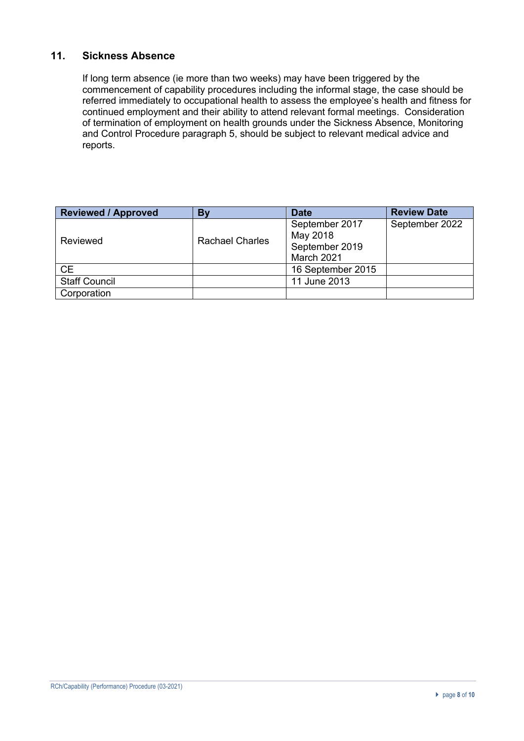## **11. Sickness Absence**

If long term absence (ie more than two weeks) may have been triggered by the commencement of capability procedures including the informal stage, the case should be referred immediately to occupational health to assess the employee's health and fitness for continued employment and their ability to attend relevant formal meetings. Consideration of termination of employment on health grounds under the Sickness Absence, Monitoring and Control Procedure paragraph 5, should be subject to relevant medical advice and reports.

| <b>Reviewed / Approved</b> | <b>By</b>              | <b>Date</b>                  | <b>Review Date</b> |
|----------------------------|------------------------|------------------------------|--------------------|
| Reviewed                   | <b>Rachael Charles</b> | September 2017<br>May 2018   | September 2022     |
|                            |                        | September 2019<br>March 2021 |                    |
| <b>CE</b>                  |                        | 16 September 2015            |                    |
| <b>Staff Council</b>       |                        | 11 June 2013                 |                    |
| Corporation                |                        |                              |                    |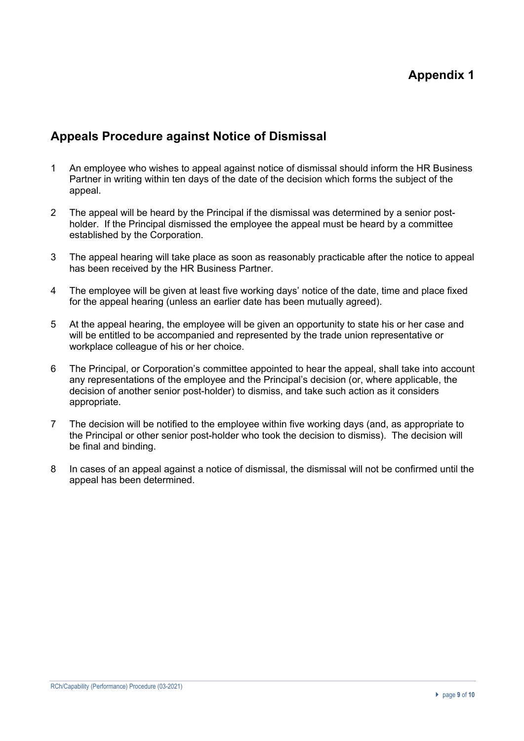## **Appeals Procedure against Notice of Dismissal**

- 1 An employee who wishes to appeal against notice of dismissal should inform the HR Business Partner in writing within ten days of the date of the decision which forms the subject of the appeal.
- 2 The appeal will be heard by the Principal if the dismissal was determined by a senior postholder. If the Principal dismissed the employee the appeal must be heard by a committee established by the Corporation.
- 3 The appeal hearing will take place as soon as reasonably practicable after the notice to appeal has been received by the HR Business Partner.
- 4 The employee will be given at least five working days' notice of the date, time and place fixed for the appeal hearing (unless an earlier date has been mutually agreed).
- 5 At the appeal hearing, the employee will be given an opportunity to state his or her case and will be entitled to be accompanied and represented by the trade union representative or workplace colleague of his or her choice.
- 6 The Principal, or Corporation's committee appointed to hear the appeal, shall take into account any representations of the employee and the Principal's decision (or, where applicable, the decision of another senior post-holder) to dismiss, and take such action as it considers appropriate.
- 7 The decision will be notified to the employee within five working days (and, as appropriate to the Principal or other senior post-holder who took the decision to dismiss). The decision will be final and binding.
- 8 In cases of an appeal against a notice of dismissal, the dismissal will not be confirmed until the appeal has been determined.